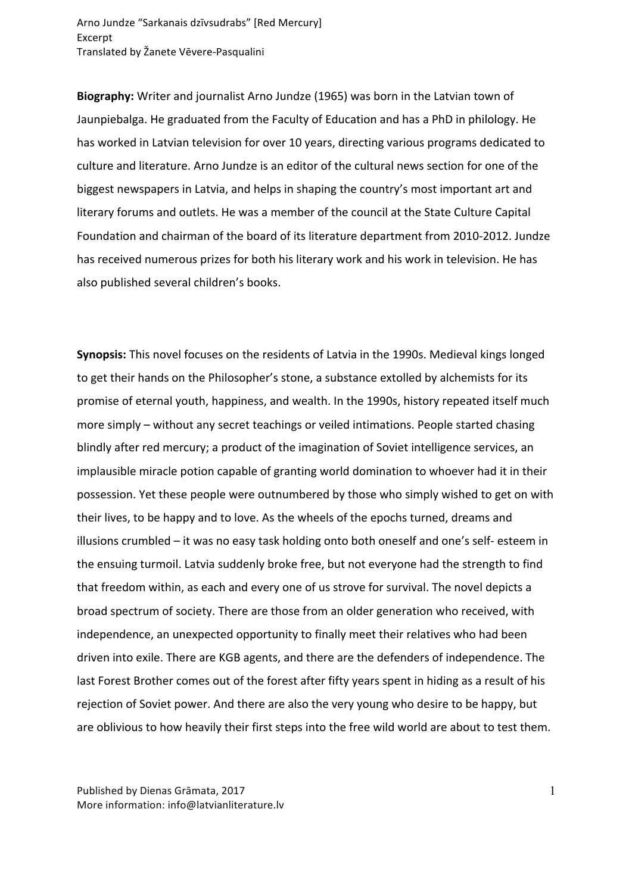Arno Jundze "Sarkanais dzīvsudrabs" [Red Mercury] Excerpt Translated by Žanete Vēvere-Pasqualini

**Biography:** Writer and journalist Arno Jundze (1965) was born in the Latvian town of Jaunpiebalga. He graduated from the Faculty of Education and has a PhD in philology. He has worked in Latvian television for over 10 years, directing various programs dedicated to culture and literature. Arno Jundze is an editor of the cultural news section for one of the biggest newspapers in Latvia, and helps in shaping the country's most important art and literary forums and outlets. He was a member of the council at the State Culture Capital Foundation and chairman of the board of its literature department from 2010-2012. Jundze has received numerous prizes for both his literary work and his work in television. He has also published several children's books.

**Synopsis:** This novel focuses on the residents of Latvia in the 1990s. Medieval kings longed to get their hands on the Philosopher's stone, a substance extolled by alchemists for its promise of eternal youth, happiness, and wealth. In the 1990s, history repeated itself much more simply – without any secret teachings or veiled intimations. People started chasing blindly after red mercury; a product of the imagination of Soviet intelligence services, an implausible miracle potion capable of granting world domination to whoever had it in their possession. Yet these people were outnumbered by those who simply wished to get on with their lives, to be happy and to love. As the wheels of the epochs turned, dreams and illusions crumbled – it was no easy task holding onto both oneself and one's self- esteem in the ensuing turmoil. Latvia suddenly broke free, but not everyone had the strength to find that freedom within, as each and every one of us strove for survival. The novel depicts a broad spectrum of society. There are those from an older generation who received, with independence, an unexpected opportunity to finally meet their relatives who had been driven into exile. There are KGB agents, and there are the defenders of independence. The last Forest Brother comes out of the forest after fifty years spent in hiding as a result of his rejection of Soviet power. And there are also the very young who desire to be happy, but are oblivious to how heavily their first steps into the free wild world are about to test them.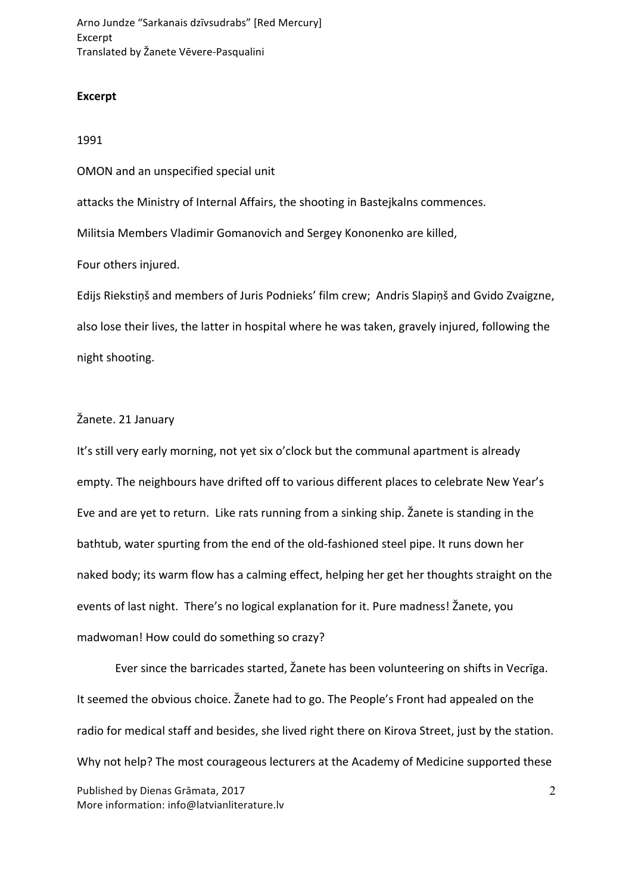Arno Jundze "Sarkanais dzīvsudrabs" [Red Mercury] Excerpt Translated by Žanete Vēvere-Pasqualini

## **Excerpt**

## 1991

OMON and an unspecified special unit attacks the Ministry of Internal Affairs, the shooting in Bastejkalns commences.

Militsia Members Vladimir Gomanovich and Sergey Kononenko are killed,

Four others injured.

Edijs Riekstiņš and members of Juris Podnieks' film crew; Andris Slapiņš and Gvido Zvaigzne, also lose their lives, the latter in hospital where he was taken, gravely injured, following the night shooting.

## Žanete. 21 January

It's still very early morning, not yet six o'clock but the communal apartment is already empty. The neighbours have drifted off to various different places to celebrate New Year's Eve and are yet to return. Like rats running from a sinking ship. Žanete is standing in the bathtub, water spurting from the end of the old-fashioned steel pipe. It runs down her naked body; its warm flow has a calming effect, helping her get her thoughts straight on the events of last night. There's no logical explanation for it. Pure madness! Žanete, you madwoman! How could do something so crazy?

Ever since the barricades started, Žanete has been volunteering on shifts in Vecrīga. It seemed the obvious choice. Žanete had to go. The People's Front had appealed on the radio for medical staff and besides, she lived right there on Kirova Street, just by the station. Why not help? The most courageous lecturers at the Academy of Medicine supported these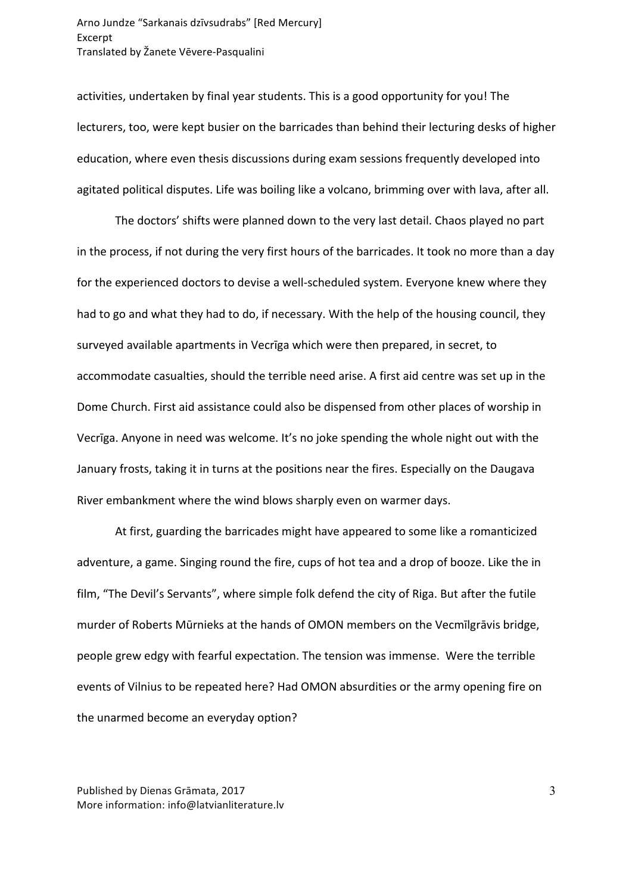activities, undertaken by final year students. This is a good opportunity for you! The lecturers, too, were kept busier on the barricades than behind their lecturing desks of higher education, where even thesis discussions during exam sessions frequently developed into agitated political disputes. Life was boiling like a volcano, brimming over with lava, after all.

The doctors' shifts were planned down to the very last detail. Chaos played no part in the process, if not during the very first hours of the barricades. It took no more than a day for the experienced doctors to devise a well-scheduled system. Everyone knew where they had to go and what they had to do, if necessary. With the help of the housing council, they surveyed available apartments in Vecrīga which were then prepared, in secret, to accommodate casualties, should the terrible need arise. A first aid centre was set up in the Dome Church. First aid assistance could also be dispensed from other places of worship in Vecriga. Anyone in need was welcome. It's no joke spending the whole night out with the January frosts, taking it in turns at the positions near the fires. Especially on the Daugava River embankment where the wind blows sharply even on warmer days.

At first, guarding the barricades might have appeared to some like a romanticized adventure, a game. Singing round the fire, cups of hot tea and a drop of booze. Like the in film, "The Devil's Servants", where simple folk defend the city of Riga. But after the futile murder of Roberts Mūrnieks at the hands of OMON members on the Vecmīlgrāvis bridge, people grew edgy with fearful expectation. The tension was immense. Were the terrible events of Vilnius to be repeated here? Had OMON absurdities or the army opening fire on the unarmed become an everyday option?

Published by Dienas Grāmata, 2017 More information: info@latvianliterature.lv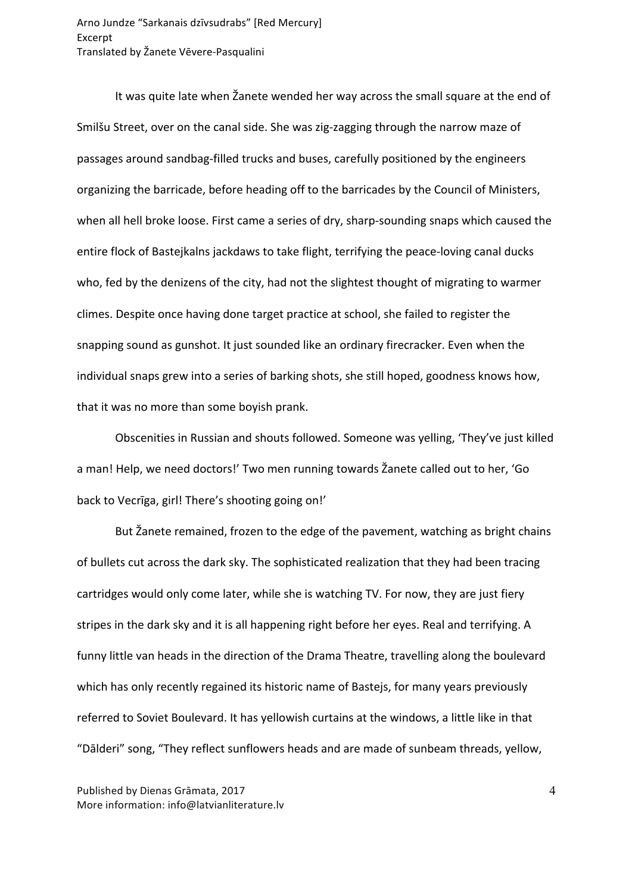It was quite late when Žanete wended her way across the small square at the end of Smilšu Street, over on the canal side. She was zig-zagging through the narrow maze of passages around sandbag-filled trucks and buses, carefully positioned by the engineers organizing the barricade, before heading off to the barricades by the Council of Ministers, when all hell broke loose. First came a series of dry, sharp-sounding snaps which caused the entire flock of Bastejkalns jackdaws to take flight, terrifying the peace-loving canal ducks who, fed by the denizens of the city, had not the slightest thought of migrating to warmer climes. Despite once having done target practice at school, she failed to register the snapping sound as gunshot. It just sounded like an ordinary firecracker. Even when the individual snaps grew into a series of barking shots, she still hoped, goodness knows how, that it was no more than some boyish prank.

Obscenities in Russian and shouts followed. Someone was yelling, 'They've just killed a man! Help, we need doctors!' Two men running towards Žanete called out to her, 'Go back to Vecrīga, girl! There's shooting going on!'

But Žanete remained, frozen to the edge of the pavement, watching as bright chains of bullets cut across the dark sky. The sophisticated realization that they had been tracing cartridges would only come later, while she is watching TV. For now, they are just fiery stripes in the dark sky and it is all happening right before her eyes. Real and terrifying. A funny little van heads in the direction of the Drama Theatre, travelling along the boulevard which has only recently regained its historic name of Bastejs, for many years previously referred to Soviet Boulevard. It has yellowish curtains at the windows, a little like in that "Dālderi" song, "They reflect sunflowers heads and are made of sunbeam threads, yellow,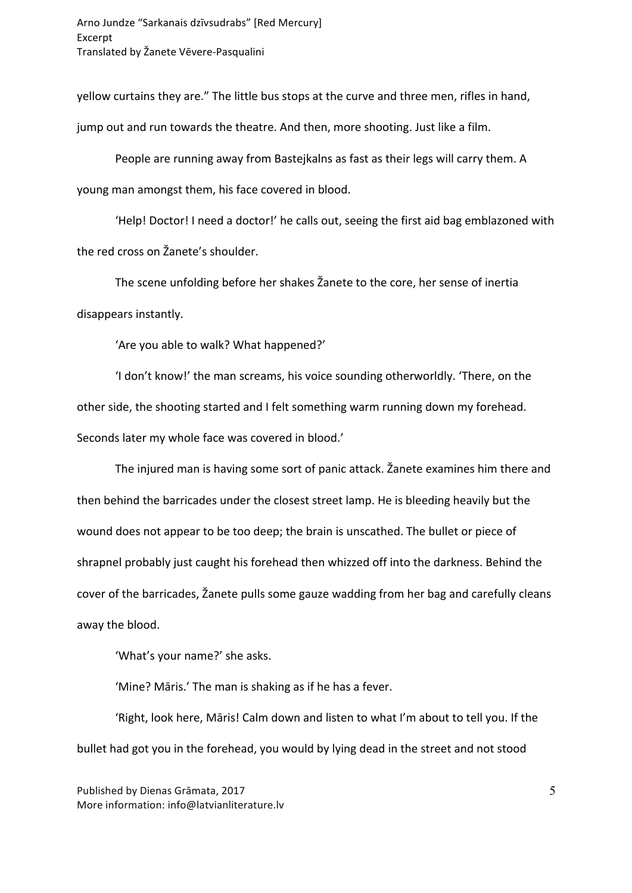yellow curtains they are." The little bus stops at the curve and three men, rifles in hand, jump out and run towards the theatre. And then, more shooting. Just like a film.

People are running away from Bastejkalns as fast as their legs will carry them. A young man amongst them, his face covered in blood.

'Help! Doctor! I need a doctor!' he calls out, seeing the first aid bag emblazoned with the red cross on Žanete's shoulder.

The scene unfolding before her shakes Žanete to the core, her sense of inertia disappears instantly.

'Are you able to walk? What happened?'

'I don't know!' the man screams, his voice sounding otherworldly. 'There, on the other side, the shooting started and I felt something warm running down my forehead. Seconds later my whole face was covered in blood.'

The injured man is having some sort of panic attack. Žanete examines him there and then behind the barricades under the closest street lamp. He is bleeding heavily but the wound does not appear to be too deep; the brain is unscathed. The bullet or piece of shrapnel probably just caught his forehead then whizzed off into the darkness. Behind the cover of the barricades, Žanete pulls some gauze wadding from her bag and carefully cleans away the blood.

'What's your name?' she asks.

'Mine? Māris.' The man is shaking as if he has a fever.

'Right, look here, Māris! Calm down and listen to what I'm about to tell you. If the bullet had got you in the forehead, you would by lying dead in the street and not stood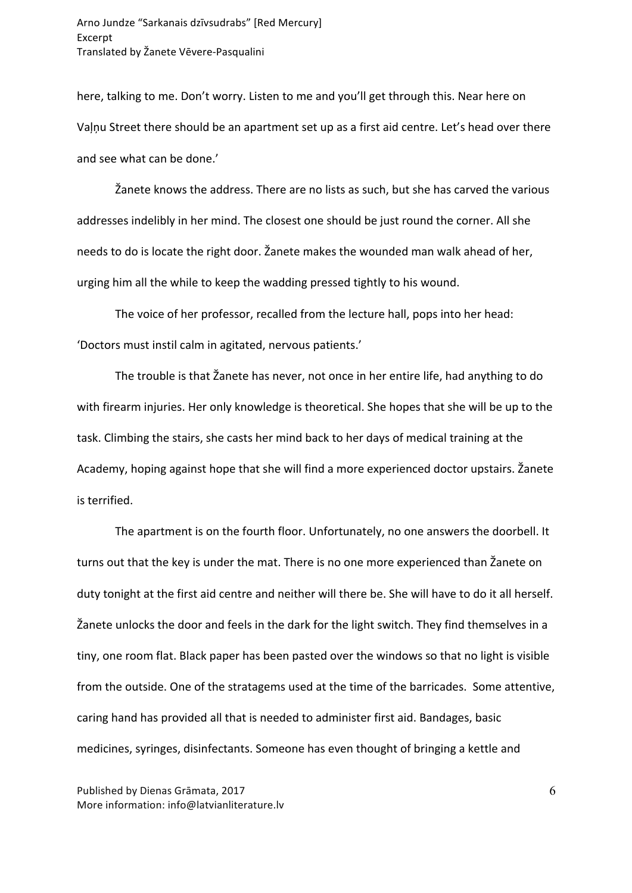here, talking to me. Don't worry. Listen to me and you'll get through this. Near here on Vaļņu Street there should be an apartment set up as a first aid centre. Let's head over there and see what can be done.'

Žanete knows the address. There are no lists as such, but she has carved the various addresses indelibly in her mind. The closest one should be just round the corner. All she needs to do is locate the right door. Žanete makes the wounded man walk ahead of her, urging him all the while to keep the wadding pressed tightly to his wound.

The voice of her professor, recalled from the lecture hall, pops into her head: 'Doctors must instil calm in agitated, nervous patients.'

The trouble is that Žanete has never, not once in her entire life, had anything to do with firearm injuries. Her only knowledge is theoretical. She hopes that she will be up to the task. Climbing the stairs, she casts her mind back to her days of medical training at the Academy, hoping against hope that she will find a more experienced doctor upstairs. Žanete is terrified.

The apartment is on the fourth floor. Unfortunately, no one answers the doorbell. It turns out that the key is under the mat. There is no one more experienced than Žanete on duty tonight at the first aid centre and neither will there be. She will have to do it all herself. Žanete unlocks the door and feels in the dark for the light switch. They find themselves in a tiny, one room flat. Black paper has been pasted over the windows so that no light is visible from the outside. One of the stratagems used at the time of the barricades. Some attentive, caring hand has provided all that is needed to administer first aid. Bandages, basic medicines, syringes, disinfectants. Someone has even thought of bringing a kettle and